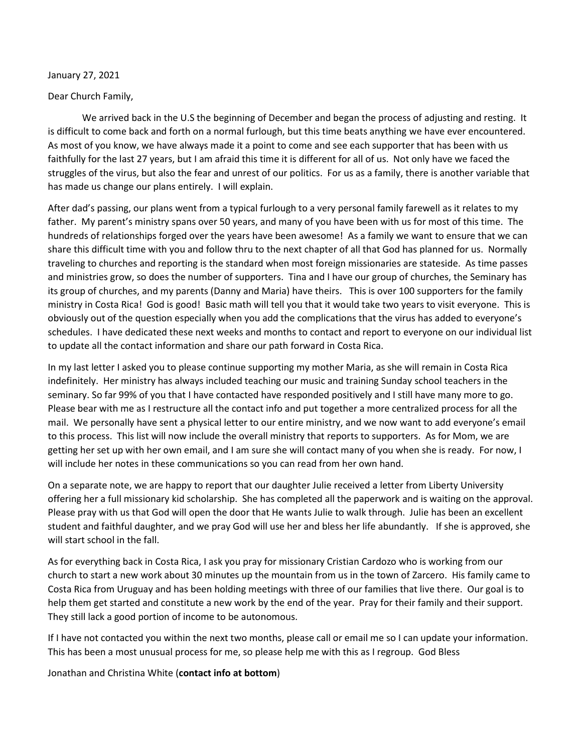## January 27, 2021

## Dear Church Family,

We arrived back in the U.S the beginning of December and began the process of adjusting and resting. It is difficult to come back and forth on a normal furlough, but this time beats anything we have ever encountered. As most of you know, we have always made it a point to come and see each supporter that has been with us faithfully for the last 27 years, but I am afraid this time it is different for all of us. Not only have we faced the struggles of the virus, but also the fear and unrest of our politics. For us as a family, there is another variable that has made us change our plans entirely. I will explain.

After dad's passing, our plans went from a typical furlough to a very personal family farewell as it relates to my father. My parent's ministry spans over 50 years, and many of you have been with us for most of this time. The hundreds of relationships forged over the years have been awesome! As a family we want to ensure that we can share this difficult time with you and follow thru to the next chapter of all that God has planned for us. Normally traveling to churches and reporting is the standard when most foreign missionaries are stateside. As time passes and ministries grow, so does the number of supporters. Tina and I have our group of churches, the Seminary has its group of churches, and my parents (Danny and Maria) have theirs. This is over 100 supporters for the family ministry in Costa Rica! God is good! Basic math will tell you that it would take two years to visit everyone. This is obviously out of the question especially when you add the complications that the virus has added to everyone's schedules. I have dedicated these next weeks and months to contact and report to everyone on our individual list to update all the contact information and share our path forward in Costa Rica.

In my last letter I asked you to please continue supporting my mother Maria, as she will remain in Costa Rica indefinitely. Her ministry has always included teaching our music and training Sunday school teachers in the seminary. So far 99% of you that I have contacted have responded positively and I still have many more to go. Please bear with me as I restructure all the contact info and put together a more centralized process for all the mail. We personally have sent a physical letter to our entire ministry, and we now want to add everyone's email to this process. This list will now include the overall ministry that reports to supporters. As for Mom, we are getting her set up with her own email, and I am sure she will contact many of you when she is ready. For now, I will include her notes in these communications so you can read from her own hand.

On a separate note, we are happy to report that our daughter Julie received a letter from Liberty University offering her a full missionary kid scholarship. She has completed all the paperwork and is waiting on the approval. Please pray with us that God will open the door that He wants Julie to walk through. Julie has been an excellent student and faithful daughter, and we pray God will use her and bless her life abundantly. If she is approved, she will start school in the fall.

As for everything back in Costa Rica, I ask you pray for missionary Cristian Cardozo who is working from our church to start a new work about 30 minutes up the mountain from us in the town of Zarcero. His family came to Costa Rica from Uruguay and has been holding meetings with three of our families that live there. Our goal is to help them get started and constitute a new work by the end of the year. Pray for their family and their support. They still lack a good portion of income to be autonomous.

If I have not contacted you within the next two months, please call or email me so I can update your information. This has been a most unusual process for me, so please help me with this as I regroup. God Bless

Jonathan and Christina White (**contact info at bottom**)